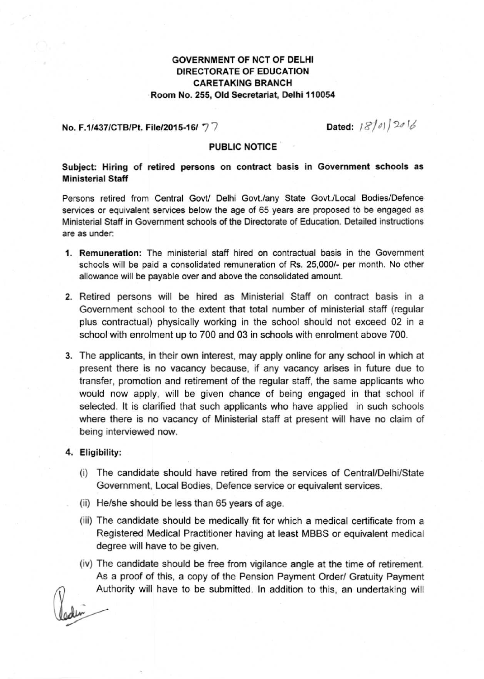# GOVERNMENT OF NCT OF DELHI DIRECTORATE OF EDUCATION CARETAKING BRANCH .Room No. 255, Old Secretariat, Delhi **110054**

#### No. F.1/437/CTB/Pt. File/2015·16/ 77

Dated: 18/01/2016

#### PUBLIC NOTICE

## **Subject: Hiring of retired persons on contract basis in Government schools as Ministerial Staff**

**Persons retired** from .**Central GovU Delhi Govt./any State Govt./Local Bodies/Defence services or equivalent services below the age of 65 years are proposed to be engaged as Ministerial Staff in Government schools of the Directorate of Education. Detailed instructions are as under:**

- **1. Remuneration: The ministerial staff hired on contractual basis in the Government schools will be paid a consolidated remuneration of Rs. 25,000/- per month. No other allowance will be payable over and above the consolidated amount.**
- 2. Retired persons will be hired as Ministerial Staff on contract basis in a **Government school to the extent that total number of ministerial staff (regular** plus contractual) physically working in the school should not exceed 02 in a school with enrolment up to 700 and 03 in schools with enrolment above 700.
- **3. The applicants, in their own interest, may apply online for any school in which at present there is no vacancy because, if any vacancy arises in future due to transfer, promotion and retirement of the regular staff, the same applicants who would now apply, will be given chance of being engaged in that school if selected. It is clarified that such applicants who have applied in such schools where there is no vacancy of Ministerial staff at present will have no claim of being interviewed now.**

#### 4. Eligibility:

- (i) The candidate should have retired from the services of Central/Delhi/State **Government, Local Bodies, Defence service or equivalent** services,
- (ii) He/she should be less than 65 years of age.
- (iii) The candidate should be medically fit for which a medical certificate from a Registered Medical Practitioner having at least MBBS or equivalent medical degree will have to be given.
- (iv) The candidate should be free from vigilance angle at the time of retirement. As a proof of this, a copy of the Pension Payment Order/ Gratuity Payment Authority will have to be submitted. In addition to this, an undertaking will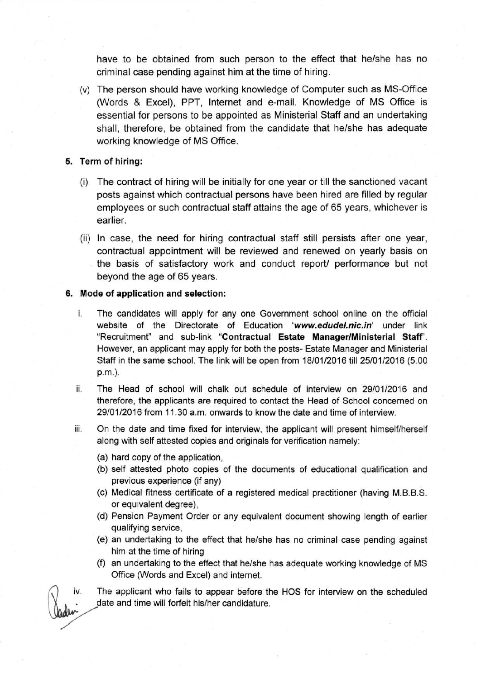have to be obtained from such person to the effect that he/she has no criminal case pending against him at the time of hiring.

(v) The person should have working knowledge of Computer such as MS-Office (Words & Excel), PPT, Internet and e-mail. Knowledge of MS Office is essential for persons to be appointed as Ministerial Staff and an undertaking shall, therefore, be obtained from the candidate that he/she has adequate working knowledge of MS Office.

#### **5. Term of hiring:**

- (i) The contract of hiring will be initially for one year or till the sanctioned vacant posts against which contractual persons have been hired are filled by regular employees or such contractual staff attains the age of 65 years, whichever is earlier.
- (ii) In case, the need for hiring contractual staff still persists after one year, contractual appointment will be reviewed and renewed on yearly basis on the basis of satisfactory work and conduct report/ performance but not beyond the age of 65 years.

#### **6. Mode of application and selection:**

- i. The candidates will apply for any one Government school online on the official website of the Directorate of Education *['www.edude/.nic.in'](http://)* under link "Recruitment" and sub-link **"Contractual Estate Manager/Ministerial** Staff'. However, an applicant may apply for both the posts- Estate Manager and Ministerial Staff in the same school. The link will be open from 18/01/2016 till 25/01/2016 (5.00 p.rn.),
- ii. The Head of school will chalk out schedule of interview on 29/01/2016 and therefore, the applicants are required to contact the Head of School concerned on 29/01/2016 from 11.30 a.m. onwards to know the date and time of interview.
- iii. On the date and time fixed for interview, the applicant will present himself/herself along with self attested copies and originals for verification namely:
	- (a) hard copy of the application,
	- (b) self attested photo copies of the documents of educational qualification and previous experience (if any)
	- (c) Medical fitness certificate of a registered medical practitioner (having M.B.B.S. or equivalent degree),
	- (d) Pension Payment Order or any equivalent document showing length of earlier qualifying service,
	- (e) an undertaking to the effect that he/she has no criminal case pending against him at the time of hiring
	- (f) an undertaking to the effect that he/she has adequate working knowledge of MS Office (Words and Excel) and internet.

iv. The applicant who fails to appear before the HOS for interview on the scheduled date and time will forfeit his/her candidature.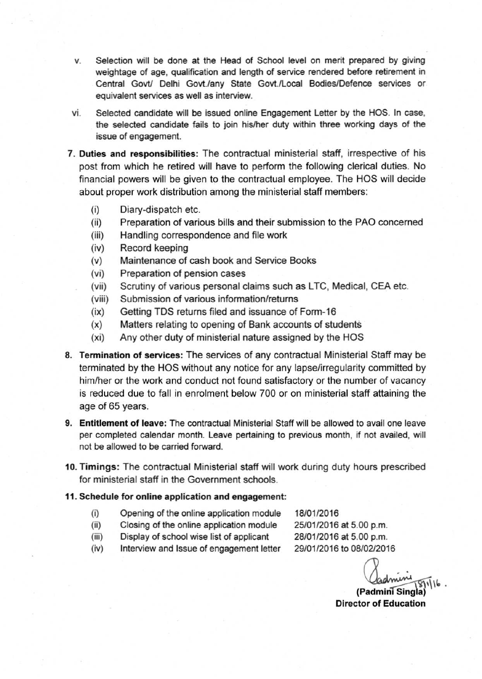- **v. Selection will be done at the Head of School level on merit prepared by giving weightage of age, qualification and length of service rendered before retirement in Central Govtl Delhi Govt.lany State Govt.lLocal Bodies/Defence services or equivalent services as well as interview.**
- **VI. Selected candidate will be issued online Engagement Letter by the HOS. In case, the selected candidate fails to join his/her duty within three working days of the issue of engagement.**
- **7. Duties and responsibilities: The contractual ministerial staff, irrespective of his** post from which he retired will have to perform the following clerical duties. No financial powers will be given to the contractual employee. The HOS will decide **about proper work distribution among the ministerial staff members:**
	- (i) Diary-dispatch etc.
	- (ii) Preparation of various bills and their submission to the PAO concerned
	- (iii) Handling correspondence and file work
	- (iv) Record keeping
	- (v) Maintenance of cash book and Service Books
	- **(vi) Preparation of pension cases**
	- (vii) Scrutiny of various personal claims such as LTC, Medical, CEA etc.
	- **(viii) Submission of various information/returns**
	- (ix) Getting TDS returns filed and issuance of Forrn-15
	- (x) Matters relating to opening of Bank accounts of students
	- $(xi)$  Any other duty of ministerial nature assigned by the HOS
- **8. Termination of services: The services of any contractual Ministerial Staff may be** terminated by the HOS without any notice for any lapse/irregularity committed by **him/her or the work and conduct not found satisfactory or the number of vacancy** is reduced due to fall in enrolment below 700 or on ministerial staff attaining the age of 65 years.
- **9. Entitlement of leave: The contractual Ministerial Staff will be allowed to avail one leave per completed calendar month. Leave pertaining to previous month, if not availed, will not be allowed to be carried forward.**
- **10. Timings: The contractual Ministerial staff will work during duty hours prescribed for ministerial staff in the Government schools.**

### **11. Schedule for online application and engagement:**

- **(i) Opening of the online application module**
- **(ii) Closing of the online application module (iii) Display of school wise list of applicant**

18/01/2016 25/01/2016 at 5.00 p.m. 28/01/2016 at 5.00 p.m. 29/01/2016 to 08/0212016

**(iv)** Interview and **Issue of engagement letter**

Cadmini<br>(Padmini Singla)<sup>116</sup>

**Director of Education**